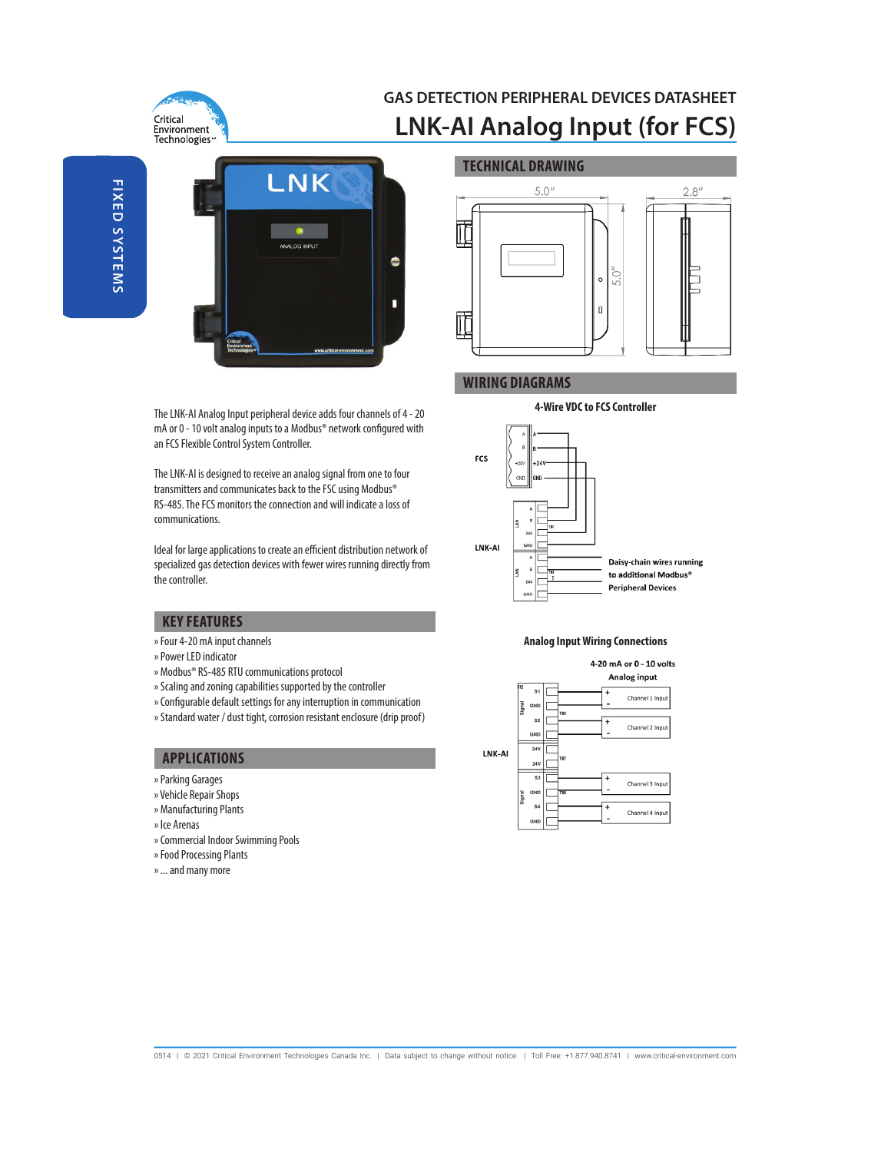

# **GAS DETECTION PERIPHERAL DEVICES DATASHEET LNK-AI Analog Input (for FCS)**



The LNK-AI Analog Input peripheral device adds four channels of 4 - 20 mA or 0 - 10 volt analog inputs to a Modbus® network configured with an FCS Flexible Control System Controller.

The LNK-AI is designed to receive an analog signal from one to four transmitters and communicates back to the FSC using Modbus® RS-485. The FCS monitors the connection and will indicate a loss of communications.

Ideal for large applications to create an efficient distribution network of specialized gas detection devices with fewer wires running directly from the controller.

# **KEY FEATURES**

- » Four 4-20 mA input channels
- » Power LED indicator
- » Modbus® RS-485 RTU communications protocol
- » Scaling and zoning capabilities supported by the controller
- » Configurable default settings for any interruption in communication
- » Standard water / dust tight, corrosion resistant enclosure (drip proof)

## **APPLICATIONS**

- » Parking Garages
- » Vehicle Repair Shops
- » Manufacturing Plants
- » Ice Arenas
- » Commercial Indoor Swimming Pools
- » Food Processing Plants
- » ... and many more



# **WIRING DIAGRAMS**

#### **4-Wire VDC to FCS Controller**



#### **Analog Input Wiring Connections**